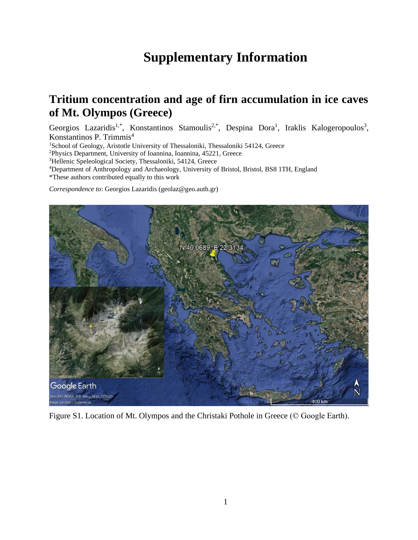## **Supplementary Information**

## **Tritium concentration and age of firn accumulation in ice caves of Mt. Olympos (Greece)**

Georgios Lazaridis<sup>1,\*</sup>, Konstantinos Stamoulis<sup>2,\*</sup>, Despina Dora<sup>1</sup>, Iraklis Kalogeropoulos<sup>3</sup>, Konstantinos P. Trimmis<sup>4</sup>

<sup>1</sup>School of Geology, Aristotle University of Thessaloniki, Thessaloniki 54124, Greece

<sup>2</sup>Physics Department, University of Ioannina, Ioannina, 45221, Greece

<sup>3</sup>Hellenic Speleological Society, Thessaloniki, 54124, Greece

<sup>4</sup>Department of Anthropology and Archaeology, University of Bristol, Bristol, BS8 1TH, England

\*These authors contributed equally to this work

*Correspondence to*: Georgios Lazaridis (geolaz@geo.auth.gr)



Figure S1. Location of Mt. Olympos and the Christaki Pothole in Greece (© Google Earth).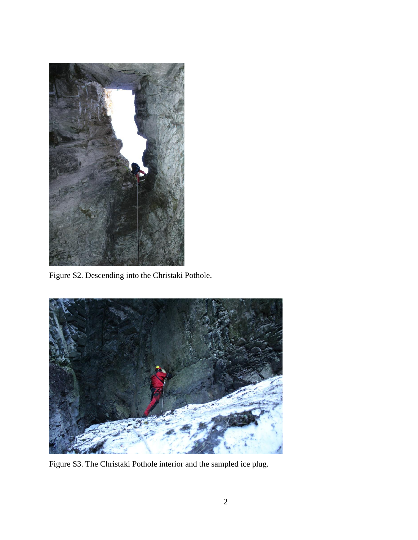

Figure S2. Descending into the Christaki Pothole.



Figure S3. The Christaki Pothole interior and the sampled ice plug.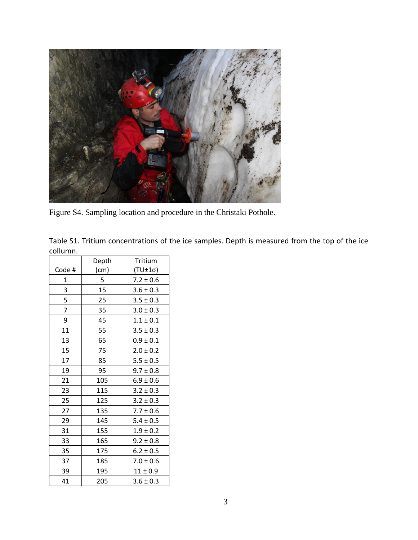

Figure S4. Sampling location and procedure in the Christaki Pothole.

Table S1. Tritium concentrations of the ice samples. Depth is measured from the top of the ice collumn.

|       | Depth | Tritium        |
|-------|-------|----------------|
| Code# | (cm)  | $(TU±1\sigma)$ |
| 1     | 5     | $7.2 \pm 0.6$  |
| 3     | 15    | $3.6 \pm 0.3$  |
| 5     | 25    | $3.5 \pm 0.3$  |
| 7     | 35    | $3.0 \pm 0.3$  |
| 9     | 45    | $1.1 \pm 0.1$  |
| 11    | 55    | $3.5 \pm 0.3$  |
| 13    | 65    | $0.9 \pm 0.1$  |
| 15    | 75    | $2.0 \pm 0.2$  |
| 17    | 85    | $5.5 \pm 0.5$  |
| 19    | 95    | $9.7 \pm 0.8$  |
| 21    | 105   | $6.9 \pm 0.6$  |
| 23    | 115   | $3.2 \pm 0.3$  |
| 25    | 125   | $3.2 \pm 0.3$  |
| 27    | 135   | $7.7 \pm 0.6$  |
| 29    | 145   | $5.4 \pm 0.5$  |
| 31    | 155   | $1.9 \pm 0.2$  |
| 33    | 165   | $9.2 \pm 0.8$  |
| 35    | 175   | $6.2 \pm 0.5$  |
| 37    | 185   | $7.0 \pm 0.6$  |
| 39    | 195   | $11 \pm 0.9$   |
| 41    | 205   | $3.6 \pm 0.3$  |